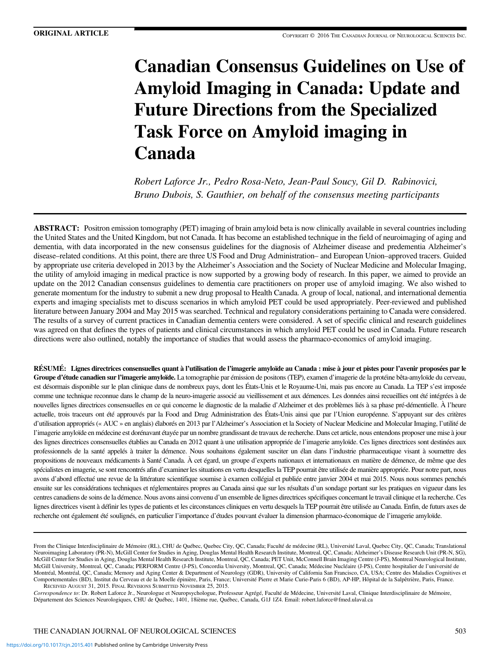# Canadian Consensus Guidelines on Use of Amyloid Imaging in Canada: Update and Future Directions from the Specialized Task Force on Amyloid imaging in Canada

Robert Laforce Jr., Pedro Rosa-Neto, Jean-Paul Soucy, Gil D. Rabinovici, Bruno Dubois, S. Gauthier, on behalf of the consensus meeting participants

ABSTRACT: Positron emission tomography (PET) imaging of brain amyloid beta is now clinically available in several countries including the United States and the United Kingdom, but not Canada. It has become an established technique in the field of neuroimaging of aging and dementia, with data incorporated in the new consensus guidelines for the diagnosis of Alzheimer disease and predementia Alzheimer's disease–related conditions. At this point, there are three US Food and Drug Administration– and European Union–approved tracers. Guided by appropriate use criteria developed in 2013 by the Alzheimer's Association and the Society of Nuclear Medicine and Molecular Imaging, the utility of amyloid imaging in medical practice is now supported by a growing body of research. In this paper, we aimed to provide an update on the 2012 Canadian consensus guidelines to dementia care practitioners on proper use of amyloid imaging. We also wished to generate momentum for the industry to submit a new drug proposal to Health Canada. A group of local, national, and international dementia experts and imaging specialists met to discuss scenarios in which amyloid PET could be used appropriately. Peer-reviewed and published literature between January 2004 and May 2015 was searched. Technical and regulatory considerations pertaining to Canada were considered. The results of a survey of current practices in Canadian dementia centers were considered. A set of specific clinical and research guidelines was agreed on that defines the types of patients and clinical circumstances in which amyloid PET could be used in Canada. Future research directions were also outlined, notably the importance of studies that would assess the pharmaco-economics of amyloid imaging.

RÉSUMÉ: Lignes directrices consensuelles quant à l'utilisation de l'imagerie amyloïde au Canada : mise à jour et pistes pour l'avenir proposées par le Groupe d'étude canadien sur l'imagerie amyloïde. La tomographie par émission de positons (TEP), examen d'imagerie de la protéine bêta-amyloïde du cerveau, est désormais disponible sur le plan clinique dans de nombreux pays, dont les États-Unis et le Royaume-Uni, mais pas encore au Canada. La TEP s'est imposée comme une technique reconnue dans le champ de la neuro-imagerie associé au vieillissement et aux démences. Les données ainsi recueillies ont été intégrées à de nouvelles lignes directrices consensuelles en ce qui concerne le diagnostic de la maladie d'Alzheimer et des problèmes liés à sa phase pré-démentielle. À l'heure actuelle, trois traceurs ont été approuvés par la Food and Drug Administration des États-Unis ainsi que par l'Union européenne. S'appuyant sur des critères d'utilisation appropriés (« AUC » en anglais) élaborés en 2013 par l'Alzheimer's Association et la Society of Nuclear Medicine and Molecular Imaging, l'utilité de l'imagerie amyloïde en médecine est dorénavant étayée par un nombre grandissant de travaux de recherche. Dans cet article, nous entendons proposer une mise à jour des lignes directrices consensuelles établies au Canada en 2012 quant à une utilisation appropriée de l'imagerie amyloïde. Ces lignes directrices sont destinées aux professionnels de la santé appelés à traiter la démence. Nous souhaitons également susciter un élan dans l'industrie pharmaceutique visant à soumettre des propositions de nouveaux médicaments à Santé Canada. À cet égard, un groupe d'experts nationaux et internationaux en matière de démence, de même que des spécialistes en imagerie, se sont rencontrés afin d'examiner les situations en vertu desquelles la TEP pourrait être utilisée de manière appropriée. Pour notre part, nous avons d'abord effectué une revue de la littérature scientifique soumise à examen collégial et publiée entre janvier 2004 et mai 2015. Nous nous sommes penchés ensuite sur les considérations techniques et réglementaires propres au Canada ainsi que sur les résultats d'un sondage portant sur les pratiques en vigueur dans les centres canadiens de soins de la démence. Nous avons ainsi convenu d'un ensemble de lignes directricesspécifiques concernant le travail clinique et la recherche. Ces lignes directrices visent à définir les types de patients et les circonstances cliniques en vertu desquels la TEP pourrait être utilisée au Canada. Enfin, de futurs axes de recherche ont également été soulignés, en particulier l'importance d'études pouvant évaluer la dimension pharmaco-économique de l'imagerie amyloïde.

From the Clinique Interdisciplinaire de Mémoire (RL), CHU de Québec, Quebec City, QC, Canada; Faculté de médecine (RL), Université Laval, Quebec City, QC, Canada; Translational Neuroimaging Laboratory (PR-N), McGill Center for Studies in Aging, Douglas Mental Health Research Institute, Montreal, QC, Canada; Alzheimer's Disease Research Unit (PR-N, SG), McGill Center for Studies in Aging, Douglas Mental Health Research Institute, Montreal, QC, Canada; PET Unit, McConnell Brain Imaging Centre (J-PS), Montreal Neurological Institute, McGill University, Montreal, QC, Canada; PERFORM Centre (J-PS), Concordia University, Montreal, QC, Canada; Médecine Nucléaire (J-PS), Centre hospitalier de l'université de Montréal, Montréal, QC, Canada; Memory and Aging Center & Department of Neurology (GDR), University of California San Francisco, CA, USA; Centre des Maladies Cognitives et Comportementales (BD), Institut du Cerveau et de la Moelle épinière, Paris, France; Université Pierre et Marie Curie-Paris 6 (BD), AP-HP, Hôpital de la Salpêtrière, Paris, France. RECEIVED AUGUST 31, 2015. FINAL REVISIONS SUBMITTED NOVEMBER 25, 2015.

Correspondence to: Dr. Robert Laforce Jr., Neurologue et Neuropsychologue, Professeur Agrégé, Faculté de Médecine, Université Laval, Clinique Interdisciplinaire de Mémoire, Département des Sciences Neurologiques, CHU de Québec, 1401, 18ième rue, Québec, Canada, G1J 1Z4. Email: robert.laforce@fmed.ulaval.ca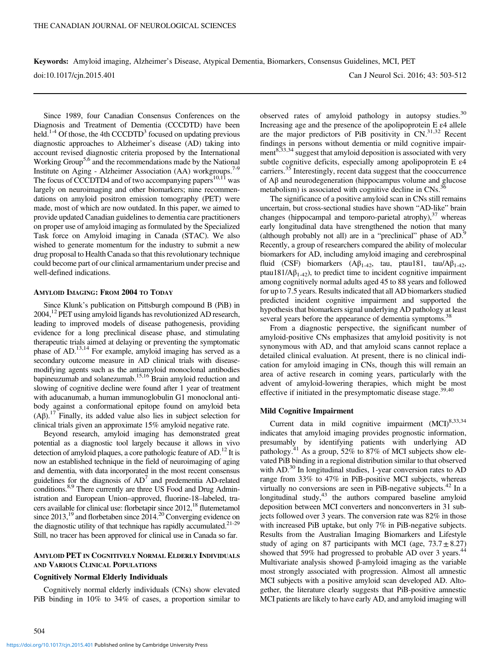Keywords: Amyloid imaging, Alzheimer's Disease, Atypical Dementia, Biomarkers, Consensus Guidelines, MCI, PET

doi:10.1017/cjn.2015.401 Can J Neurol Sci. 2016; 43: 503-512

Since 1989, four Canadian Consensus Conferences on the Diagnosis and Treatment of Dementia (CCCDTD) have been held.<sup>1-4</sup> Of those, the 4th CCCDTD<sup>[3](#page-7-0)</sup> focused on updating previous diagnostic approaches to Alzheimer's disease (AD) taking into account revised diagnostic criteria proposed by the International Working Group<sup>[5,6](#page-7-0)</sup> and the recommendations made by the National Institute on Aging - Alzheimer Association (AA) workgroups[.7-9](#page-7-0) The focus of CCCDTD4 and of two accompanying papers<sup>10,11</sup> was largely on neuroimaging and other biomarkers; nine recommendations on amyloid positron emission tomography (PET) were made, most of which are now outdated. In this paper, we aimed to provide updated Canadian guidelines to dementia care practitioners on proper use of amyloid imaging as formulated by the Specialized Task force on Amyloid imaging in Canada (STAC). We also wished to generate momentum for the industry to submit a new drug proposal to Health Canada so that this revolutionary technique could become part of our clinical armamentarium under precise and well-defined indications.

# AMYLOID IMAGING: FROM 2004 TO TODAY

Since Klunk's publication on Pittsburgh compound B (PiB) in 2004,<sup>[12](#page-7-0)</sup> PET using amyloid ligands has revolutionized AD research, leading to improved models of disease pathogenesis, providing evidence for a long preclinical disease phase, and stimulating therapeutic trials aimed at delaying or preventing the symptomatic phase of AD[.13,14](#page-7-0) For example, amyloid imaging has served as a secondary outcome measure in AD clinical trials with diseasemodifying agents such as the antiamyloid monoclonal antibodies bapineuzumab and solanezumab.<sup>[15,16](#page-7-0)</sup> Brain amyloid reduction and slowing of cognitive decline were found after 1 year of treatment with aducanumab, a human immunoglobulin G1 monoclonal antibody against a conformational epitope found on amyloid beta  $(A\beta)$ <sup>17</sup> Finally, its added value also lies in subject selection for clinical trials given an approximate 15% amyloid negative rate.

Beyond research, amyloid imaging has demonstrated great potential as a diagnostic tool largely because it allows in vivo detection of amyloid plaques, a core pathologic feature of AD.<sup>12</sup> It is now an established technique in the field of neuroimaging of aging and dementia, with data incorporated in the most recent consensus guidelines for the diagnosis of  $AD<sup>7</sup>$  and predementia AD-related conditions.<sup>[8](#page-7-0),[9](#page-7-0)</sup> There currently are three US Food and Drug Administration and European Union–approved, fluorine-18–labeled, tracers available for clinical use: florbetapir since  $2012$ ,<sup>18</sup> flutemetamol since  $2013$ ,<sup>19</sup> and florbetaben since  $2014$ <sup>20</sup> Converging evidence on the diagnostic utility of that technique has rapidly accumulated. $21-29$ Still, no tracer has been approved for clinical use in Canada so far.

# AMYLOID PET IN COGNITIVELY NORMAL ELDERLY INDIVIDUALS AND VARIOUS CLINICAL POPULATIONS

## Cognitively Normal Elderly Individuals

504

Cognitively normal elderly individuals (CNs) show elevated PiB binding in 10% to 34% of cases, a proportion similar to observed rates of amyloid pathology in autopsy studies.<sup>[30](#page-7-0)</sup> Increasing age and the presence of the apolipoprotein E ε4 allele are the major predictors of PiB positivity in CN.<sup>[31,32](#page-7-0)</sup> Recent findings in persons without dementia or mild cognitive impairment $8,33,34$  $8,33,34$  $8,33,34$  suggest that amyloid deposition is associated with very subtle cognitive deficits, especially among apolipoprotein E  $\varepsilon$ 4 carriers. $35$  Interestingly, recent data suggest that the cooccurrence of Aβ and neurodegeneration (hippocampus volume and glucose metabolism) is associated with cognitive decline in CNs.<sup>3</sup>

The significance of a positive amyloid scan in CNs still remains uncertain, but cross-sectional studies have shown "AD-like" brain changes (hippocampal and temporo-parietal atrophy), $37$  whereas early longitudinal data have strengthened the notion that many (although probably not all) are in a "preclinical" phase of AD.<sup>9</sup> Recently, a group of researchers compared the ability of molecular biomarkers for AD, including amyloid imaging and cerebrospinal fluid (CSF) biomarkers ( $A\beta_{1-42}$ , tau, ptau181, tau/ $A\beta_{1-42}$ , ptau181/A $\beta_{1-42}$ ), to predict time to incident cognitive impairment among cognitively normal adults aged 45 to 88 years and followed for up to 7.5 years. Results indicated that all AD biomarkers studied predicted incident cognitive impairment and supported the hypothesis that biomarkers signal underlying AD pathology at least several years before the appearance of dementia symptoms.<sup>[38](#page-8-0)</sup>

From a diagnostic perspective, the significant number of amyloid-positive CNs emphasizes that amyloid positivity is not synonymous with AD, and that amyloid scans cannot replace a detailed clinical evaluation. At present, there is no clinical indication for amyloid imaging in CNs, though this will remain an area of active research in coming years, particularly with the advent of amyloid-lowering therapies, which might be most effective if initiated in the presymptomatic disease stage. $39,40$  $39,40$ 

#### Mild Cognitive Impairment

Current data in mild cognitive impairment  $(MCI)^{8,33,34}$ indicates that amyloid imaging provides prognostic information, presumably by identifying patients with underlying AD pathology.<sup>41</sup> As a group,  $52\%$  to 87% of MCI subjects show elevated PiB binding in a regional distribution similar to that observed with AD.<sup>[30](#page-7-0)</sup> In longitudinal studies, 1-year conversion rates to AD range from 33% to 47% in PiB-positive MCI subjects, whereas virtually no conversions are seen in PiB-negative subjects. $42$  In a longitudinal study, $43$  the authors compared baseline amyloid deposition between MCI converters and nonconverters in 31 subjects followed over 3 years. The conversion rate was 82% in those with increased PiB uptake, but only 7% in PiB-negative subjects. Results from the Australian Imaging Biomarkers and Lifestyle study of aging on 87 participants with MCI (age,  $73.7 \pm 8.27$ ) showed that 59% had progressed to probable AD over 3 years.<sup>44</sup> Multivariate analysis showed β-amyloid imaging as the variable most strongly associated with progression. Almost all amnestic MCI subjects with a positive amyloid scan developed AD. Altogether, the literature clearly suggests that PiB-positive amnestic MCI patients are likely to have early AD, and amyloid imaging will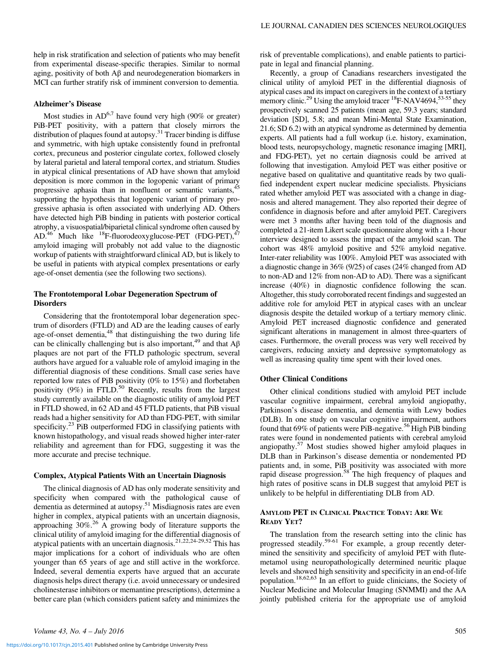help in risk stratification and selection of patients who may benefit from experimental disease-specific therapies. Similar to normal aging, positivity of both Aβ and neurodegeneration biomarkers in MCI can further stratify risk of imminent conversion to dementia.

## Alzheimer's Disease

Most studies in  $AD^{6,7}$  $AD^{6,7}$  $AD^{6,7}$  have found very high (90% or greater) PiB-PET positivity, with a pattern that closely mirrors the distribution of plaques found at autopsy. $31$  Tracer binding is diffuse and symmetric, with high uptake consistently found in prefrontal cortex, precuneus and posterior cingulate cortex, followed closely by lateral parietal and lateral temporal cortex, and striatum. Studies in atypical clinical presentations of AD have shown that amyloid deposition is more common in the logopenic variant of primary progressive aphasia than in nonfluent or semantic variants, $45$ supporting the hypothesis that logopenic variant of primary progressive aphasia is often associated with underlying AD. Others have detected high PiB binding in patients with posterior cortical atrophy, a visuospatial/biparietal clinical syndrome often caused by AD.<sup>[46](#page-8-0)</sup> Much like <sup>[18](#page-7-0)</sup>F-fluorodeoxyglucose-PET (FDG-PET),<sup>46</sup> amyloid imaging will probably not add value to the diagnostic workup of patients with straightforward clinical AD, but is likely to be useful in patients with atypical complex presentations or early age-of-onset dementia (see the following two sections).

# The Frontotemporal Lobar Degeneration Spectrum of **Disorders**

Considering that the frontotemporal lobar degeneration spectrum of disorders (FTLD) and AD are the leading causes of early age-of-onset dementia,<sup>[48](#page-8-0)</sup> that distinguishing the two during life can be clinically challenging but is also important,<sup>[49](#page-8-0)</sup> and that  $A\beta$ plaques are not part of the FTLD pathologic spectrum, several authors have argued for a valuable role of amyloid imaging in the differential diagnosis of these conditions. Small case series have reported low rates of PiB positivity (0% to 15%) and florbetaben positivity  $(9\%)$  in FTLD.<sup>[50](#page-8-0)</sup> Recently, results from the largest study currently available on the diagnostic utility of amyloid PET in FTLD showed, in 62 AD and 45 FTLD patients, that PiB visual reads had a higher sensitivity for AD than FDG-PET, with similar specificity.<sup>[23](#page-7-0)</sup> PiB outperformed FDG in classifying patients with known histopathology, and visual reads showed higher inter-rater reliability and agreement than for FDG, suggesting it was the more accurate and precise technique.

#### Complex, Atypical Patients With an Uncertain Diagnosis

The clinical diagnosis of AD has only moderate sensitivity and specificity when compared with the pathological cause of dementia as determined at autopsy.<sup>[51](#page-8-0)</sup> Misdiagnosis rates are even higher in complex, atypical patients with an uncertain diagnosis, approaching  $30\%$ <sup>[26](#page-7-0)</sup> A growing body of literature supports the clinical utility of amyloid imaging for the differential diagnosis of atypical patients with an uncertain diagnosis.<sup>21,22,[24-29](#page-7-0)[,52](#page-8-0)</sup> This has major implications for a cohort of individuals who are often younger than 65 years of age and still active in the workforce. Indeed, several dementia experts have argued that an accurate diagnosis helps direct therapy (i.e. avoid unnecessary or undesired cholinesterase inhibitors or memantine prescriptions), determine a better care plan (which considers patient safety and minimizes the risk of preventable complications), and enable patients to participate in legal and financial planning.

Recently, a group of Canadians researchers investigated the clinical utility of amyloid PET in the differential diagnosis of atypical cases and its impact on caregivers in the context of a tertiary memory clinic.<sup>[29](#page-7-0)</sup> Using the amyloid tracer <sup>[18](#page-7-0)</sup>F-NAV4694,<sup>53-55</sup> they prospectively scanned 25 patients (mean age, 59.3 years; standard deviation [SD], 5.8; and mean Mini-Mental State Examination, 21.6; SD 6.2) with an atypical syndrome as determined by dementia experts. All patients had a full workup (i.e. history, examination, blood tests, neuropsychology, magnetic resonance imaging [MRI], and FDG-PET), yet no certain diagnosis could be arrived at following that investigation. Amyloid PET was either positive or negative based on qualitative and quantitative reads by two qualified independent expert nuclear medicine specialists. Physicians rated whether amyloid PET was associated with a change in diagnosis and altered management. They also reported their degree of confidence in diagnosis before and after amyloid PET. Caregivers were met 3 months after having been told of the diagnosis and completed a 21-item Likert scale questionnaire along with a 1-hour interview designed to assess the impact of the amyloid scan. The cohort was 48% amyloid positive and 52% amyloid negative. Inter-rater reliability was 100%. Amyloid PET was associated with a diagnostic change in 36% (9/25) of cases (24% changed from AD to non-AD and 12% from non-AD to AD). There was a significant increase (40%) in diagnostic confidence following the scan. Altogether, this study corroborated recent findings and suggested an additive role for amyloid PET in atypical cases with an unclear diagnosis despite the detailed workup of a tertiary memory clinic. Amyloid PET increased diagnostic confidence and generated significant alterations in management in almost three-quarters of cases. Furthermore, the overall process was very well received by caregivers, reducing anxiety and depressive symptomatology as well as increasing quality time spent with their loved ones.

## Other Clinical Conditions

Other clinical conditions studied with amyloid PET include vascular cognitive impairment, cerebral amyloid angiopathy, Parkinson's disease dementia, and dementia with Lewy bodies (DLB). In one study on vascular cognitive impairment, authors found that  $69\%$  of patients were PiB-negative.<sup>[56](#page-8-0)</sup> High PiB binding rates were found in nondemented patients with cerebral amyloid angiopathy[.57](#page-8-0) Most studies showed higher amyloid plaques in DLB than in Parkinson's disease dementia or nondemented PD patients and, in some, PiB positivity was associated with more rapid disease progression.<sup>[58](#page-8-0)</sup> The high frequency of plaques and high rates of positive scans in DLB suggest that amyloid PET is unlikely to be helpful in differentiating DLB from AD.

# AMYLOID PET IN CLINICAL PRACTICE TODAY: ARE WE READY YET?

The translation from the research setting into the clinic has progressed steadily.<sup>[59-61](#page-8-0)</sup> For example, a group recently determined the sensitivity and specificity of amyloid PET with flutemetamol using neuropathologically determined neuritic plaque levels and showed high sensitivity and specificity in an end-of-life population.<sup>18,[62,63](#page-8-0)</sup> In an effort to guide clinicians, the Society of Nuclear Medicine and Molecular Imaging (SNMMI) and the AA jointly published criteria for the appropriate use of amyloid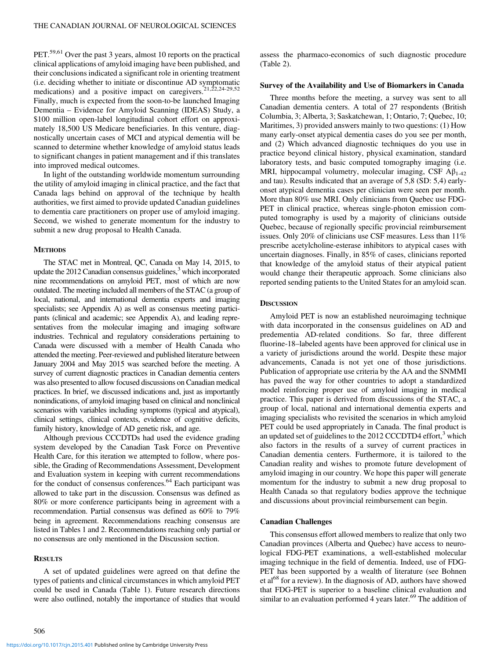PET.<sup>[59](#page-8-0),[61](#page-8-0)</sup> Over the past 3 years, almost 10 reports on the practical clinical applications of amyloid imaging have been published, and their conclusions indicated a significant role in orienting treatment (i.e. deciding whether to initiate or discontinue AD symptomatic medications) and a positive impact on caregivers.<sup>[21](#page-7-0),[22,24-29](#page-7-0),[52](#page-8-0)</sup> Finally, much is expected from the soon-to-be launched Imaging Dementia – Evidence for Amyloid Scanning (IDEAS) Study, a \$100 million open-label longitudinal cohort effort on approximately 18,500 US Medicare beneficiaries. In this venture, diagnostically uncertain cases of MCI and atypical dementia will be scanned to determine whether knowledge of amyloid status leads to significant changes in patient management and if this translates into improved medical outcomes.

In light of the outstanding worldwide momentum surrounding the utility of amyloid imaging in clinical practice, and the fact that Canada lags behind on approval of the technique by health authorities, we first aimed to provide updated Canadian guidelines to dementia care practitioners on proper use of amyloid imaging. Second, we wished to generate momentum for the industry to submit a new drug proposal to Health Canada.

#### **METHODS**

The STAC met in Montreal, QC, Canada on May 14, 2015, to update the  $2012$  Canadian consensus guidelines,<sup>3</sup> which incorporated nine recommendations on amyloid PET, most of which are now outdated. The meeting included all members of the STAC (a group of local, national, and international dementia experts and imaging specialists; see Appendix A) as well as consensus meeting participants (clinical and academic; see Appendix A), and leading representatives from the molecular imaging and imaging software industries. Technical and regulatory considerations pertaining to Canada were discussed with a member of Health Canada who attended the meeting. Peer-reviewed and published literature between January 2004 and May 2015 was searched before the meeting. A survey of current diagnostic practices in Canadian dementia centers was also presented to allow focused discussions on Canadian medical practices. In brief, we discussed indications and, just as importantly nonindications, of amyloid imaging based on clinical and nonclinical scenarios with variables including symptoms (typical and atypical), clinical settings, clinical contexts, evidence of cognitive deficits, family history, knowledge of AD genetic risk, and age.

Although previous CCCDTDs had used the evidence grading system developed by the Canadian Task Force on Preventive Health Care, for this iteration we attempted to follow, where possible, the Grading of Recommendations Assessment, Development and Evaluation system in keeping with current recommendations for the conduct of consensus conferences.<sup>64</sup> Each participant was allowed to take part in the discussion. Consensus was defined as 80% or more conference participants being in agreement with a recommendation. Partial consensus was defined as 60% to 79% being in agreement. Recommendations reaching consensus are listed in [Tables 1](#page-4-0) and [2](#page-4-0). Recommendations reaching only partial or no consensus are only mentioned in the Discussion section.

# **RESULTS**

A set of updated guidelines were agreed on that define the types of patients and clinical circumstances in which amyloid PET could be used in Canada [\(Table 1](#page-4-0)). Future research directions were also outlined, notably the importance of studies that would assess the pharmaco-economics of such diagnostic procedure [\(Table 2\)](#page-4-0).

#### Survey of the Availability and Use of Biomarkers in Canada

Three months before the meeting, a survey was sent to all Canadian dementia centers. A total of 27 respondents (British Columbia, 3; Alberta, 3; Saskatchewan, 1; Ontario, 7; Quebec, 10; Maritimes, 3) provided answers mainly to two questions: (1) How many early-onset atypical dementia cases do you see per month, and (2) Which advanced diagnostic techniques do you use in practice beyond clinical history, physical examination, standard laboratory tests, and basic computed tomography imaging (i.e. MRI, hippocampal volumetry, molecular imaging, CSF  $\mathsf{A}\beta_{1-42}$ and tau). Results indicated that an average of 5,8 (SD: 5,4) earlyonset atypical dementia cases per clinician were seen per month. More than 80% use MRI. Only clinicians from Quebec use FDG-PET in clinical practice, whereas single-photon emission computed tomography is used by a majority of clinicians outside Quebec, because of regionally specific provincial reimbursement issues. Only 20% of clinicians use CSF measures. Less than 11% prescribe acetylcholine-esterase inhibitors to atypical cases with uncertain diagnoses. Finally, in 85% of cases, clinicians reported that knowledge of the amyloid status of their atypical patient would change their therapeutic approach. Some clinicians also reported sending patients to the United States for an amyloid scan.

## **DISCUSSION**

Amyloid PET is now an established neuroimaging technique with data incorporated in the consensus guidelines on AD and predementia AD-related conditions. So far, three different fluorine-18–labeled agents have been approved for clinical use in a variety of jurisdictions around the world. Despite these major advancements, Canada is not yet one of those jurisdictions. Publication of appropriate use criteria by the AA and the SNMMI has paved the way for other countries to adopt a standardized model reinforcing proper use of amyloid imaging in medical practice. This paper is derived from discussions of the STAC, a group of local, national and international dementia experts and imaging specialists who revisited the scenarios in which amyloid PET could be used appropriately in Canada. The final product is an updated set of guidelines to the  $2012$  CCCDTD4 effort,<sup>[3](#page-7-0)</sup> which also factors in the results of a survey of current practices in Canadian dementia centers. Furthermore, it is tailored to the Canadian reality and wishes to promote future development of amyloid imaging in our country. We hope this paper will generate momentum for the industry to submit a new drug proposal to Health Canada so that regulatory bodies approve the technique and discussions about provincial reimbursement can begin.

## Canadian Challenges

This consensus effort allowed members to realize that only two Canadian provinces (Alberta and Quebec) have access to neurological FDG-PET examinations, a well-established molecular imaging technique in the field of dementia. Indeed, use of FDG-PET has been supported by a wealth of literature (see Bohnen et al<sup>[68](#page-8-0)</sup> for a review). In the diagnosis of AD, authors have showed that FDG-PET is superior to a baseline clinical evaluation and similar to an evaluation performed 4 years later.<sup>[69](#page-8-0)</sup> The addition of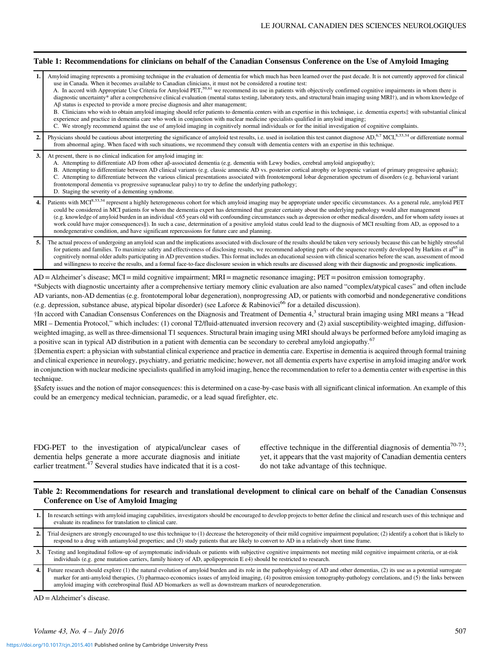## <span id="page-4-0"></span>Table 1: Recommendations for clinicians on behalf of the Canadian Consensus Conference on the Use of Amyloid Imaging

1. Amyloid imaging represents a promising technique in the evaluation of dementia for which much has been learned over the past decade. It is not currently approved for clinical

use in Canada. When it becomes available to Canadian clinicians, it must not be considered a routine test:<br>A. In accord with Appropriate Use Criteria for Amyloid PET,<sup>59,61</sup> we recommend its use in patients with objectivel diagnostic uncertainty\* after a comprehensive clinical evaluation (mental status testing, laboratory tests, and structural brain imaging using MRI†), and in whom knowledge of Aβ status is expected to provide a more precise diagnosis and alter management;

B. Clinicians who wish to obtain amyloid imaging should refer patients to dementia centers with an expertise in this technique, i.e. dementia experts‡ with substantial clinical experience and practice in dementia care who work in conjunction with nuclear medicine specialists qualified in amyloid imaging;

C. We strongly recommend against the use of amyloid imaging in cognitively normal individuals or for the initial investigation of cognitive complaints.

2. Physicians should be cautious about interpreting the significance of amyloid test results, i.e. used in isolation this test cannot diagnose AD,<sup>[6](#page-7-0),[7](#page-7-0)</sup> MCI,<sup>[8,33](#page-7-0),[34](#page-7-0)</sup> or differentiate normal from abnormal aging. When faced with such situations, we recommend they consult with dementia centers with an expertise in this technique.

- 3. At present, there is no clinical indication for amyloid imaging in:
	- A. Attempting to differentiate AD from other aβ-associated dementia (e.g. dementia with Lewy bodies, cerebral amyloid angiopathy);

B. Attempting to differentiate between AD clinical variants (e.g. classic amnestic AD vs. posterior cortical atrophy or logopenic variant of primary progressive aphasia); C. Attempting to differentiate between the various clinical presentations associated with frontotemporal lobar degeneration spectrum of disorders (e.g. behavioral variant frontotemporal dementia vs progressive supranuclear palsy) to try to define the underlying pathology;

- D. Staging the severity of a dementing syndrome.
- 4. Patients with MCI<sup>[8](#page-7-0),[33,34](#page-7-0)</sup> represent a highly heterogeneous cohort for which amyloid imaging may be appropriate under specific circumstances. As a general rule, amyloid PET could be considered in MCI patients for whom the dementia expert has determined that greater certainty about the underlying pathology would alter management (e.g. knowledge of amyloid burden in an individual <65 years old with confounding circumstances such as depression or other medical disorders, and for whom safety issues at work could have major consequences§). In such a case, determination of a positive amyloid status could lead to the diagnosis of MCI resulting from AD, as opposed to a nondegenerative condition, and have significant repercussions for future care and planning.
- 5. The actual process of undergoing an amyloid scan and the implications associated with disclosure of the results should be taken very seriously because this can be highly stressful for patients and families. To maximize safety and effectiveness of disclosing results, we recommend adopting parts of the sequence recently developed by Harkins et al[65](#page-8-0) in cognitively normal older adults participating in AD prevention studies. This format includes an educational session with clinical scenarios before the scan, assessment of mood and willingness to receive the results, and a formal face-to-face disclosure session in which results are discussed along with their diagnostic and prognostic implications.

AD = Alzheimer's disease; MCI= mild cognitive impairment; MRI = magnetic resonance imaging; PET= positron emission tomography.

\*Subjects with diagnostic uncertainty after a comprehensive tertiary memory clinic evaluation are also named "complex/atypical cases" and often include AD variants, non-AD dementias (e.g. frontotemporal lobar degeneration), nonprogressing AD, or patients with comorbid and nondegenerative conditions (e.g. depression, substance abuse, atypical bipolar disorder) (see Laforce & Rabinovici<sup>[66](#page-8-0)</sup> for a detailed discussion).

†In accord with Canadian Consensus Conferences on the Diagnosis and Treatment of Dementia 4,[3](#page-7-0) structural brain imaging using MRI means a "Head MRI – Dementia Protocol," which includes: (1) coronal T2/fluid-attenuated inversion recovery and (2) axial susceptibility-weighted imaging, diffusionweighted imaging, as well as three-dimensional T1 sequences. Structural brain imaging using MRI should always be performed before amyloid imaging as a positive scan in typical AD distribution in a patient with dementia can be secondary to cerebral amyloid angiopathy.<sup>[67](#page-8-0)</sup>

‡Dementia expert: a physician with substantial clinical experience and practice in dementia care. Expertise in dementia is acquired through formal training and clinical experience in neurology, psychiatry, and geriatric medicine; however, not all dementia experts have expertise in amyloid imaging and/or work in conjunction with nuclear medicine specialists qualified in amyloid imaging, hence the recommendation to refer to a dementia center with expertise in this technique.

§Safety issues and the notion of major consequences: this is determined on a case-by-case basis with all significant clinical information. An example of this could be an emergency medical technician, paramedic, or a lead squad firefighter, etc.

FDG-PET to the investigation of atypical/unclear cases of dementia helps generate a more accurate diagnosis and initiate earlier treatment.<sup>[47](#page-8-0)</sup> Several studies have indicated that it is a costeffective technique in the differential diagnosis of dementia<sup>[70-73](#page-8-0)</sup>; yet, it appears that the vast majority of Canadian dementia centers do not take advantage of this technique.

# Table 2: Recommendations for research and translational development to clinical care on behalf of the Canadian Consensus Conference on Use of Amyloid Imaging

| 1. ' | In research settings with amyloid imaging capabilities, investigators should be encouraged to develop projects to better define the clinical and research uses of this technique and<br>evaluate its readiness for translation to clinical care.                                                                                                                                                                                                                        |
|------|-------------------------------------------------------------------------------------------------------------------------------------------------------------------------------------------------------------------------------------------------------------------------------------------------------------------------------------------------------------------------------------------------------------------------------------------------------------------------|
| 2.   | Trial designers are strongly encouraged to use this technique to (1) decrease the heterogeneity of their mild cognitive impairment population; (2) identify a cohort that is likely to<br>respond to a drug with antiamyloid properties; and (3) study patients that are likely to convert to AD in a relatively short time frame.                                                                                                                                      |
| 3.1  | Testing and longitudinal follow-up of asymptomatic individuals or patients with subjective cognitive impairments not meeting mild cognitive impairment criteria, or at-risk<br>individuals (e.g. gene mutation carriers, family history of AD, apolipoprotein $E \epsilon 4$ ) should be restricted to research.                                                                                                                                                        |
| 4.   | Future research should explore (1) the natural evolution of amyloid burden and its role in the pathophysiology of AD and other dementias, (2) its use as a potential surrogate<br>marker for anti-amyloid therapies, (3) pharmaco-economics issues of amyloid imaging, (4) positron emission tomography-pathology correlations, and (5) the links between<br>amyloid imaging with cerebrospinal fluid AD biomarkers as well as downstream markers of neurodegeneration. |
|      |                                                                                                                                                                                                                                                                                                                                                                                                                                                                         |

AD = Alzheimer's disease.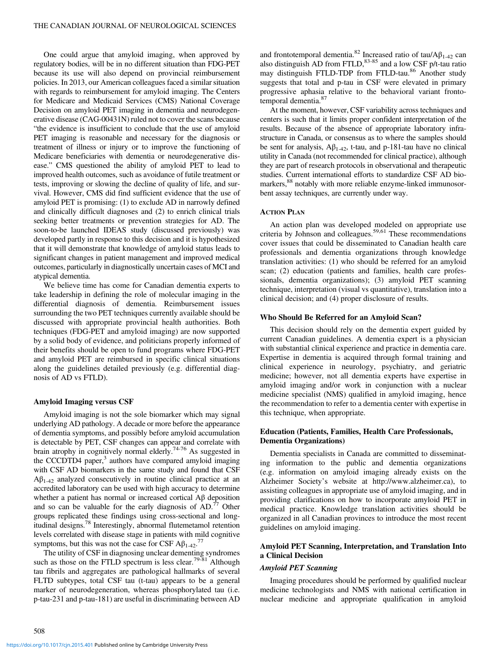One could argue that amyloid imaging, when approved by regulatory bodies, will be in no different situation than FDG-PET because its use will also depend on provincial reimbursement policies. In 2013, our American colleagues faced a similar situation with regards to reimbursement for amyloid imaging. The Centers for Medicare and Medicaid Services (CMS) National Coverage Decision on amyloid PET imaging in dementia and neurodegenerative disease (CAG-00431N) ruled not to cover the scans because "the evidence is insufficient to conclude that the use of amyloid PET imaging is reasonable and necessary for the diagnosis or treatment of illness or injury or to improve the functioning of Medicare beneficiaries with dementia or neurodegenerative disease." CMS questioned the ability of amyloid PET to lead to improved health outcomes, such as avoidance of futile treatment or tests, improving or slowing the decline of quality of life, and survival. However, CMS did find sufficient evidence that the use of amyloid PET is promising: (1) to exclude AD in narrowly defined and clinically difficult diagnoses and (2) to enrich clinical trials seeking better treatments or prevention strategies for AD. The soon-to-be launched IDEAS study (discussed previously) was developed partly in response to this decision and it is hypothesized that it will demonstrate that knowledge of amyloid status leads to significant changes in patient management and improved medical outcomes, particularly in diagnostically uncertain cases of MCI and atypical dementia.

We believe time has come for Canadian dementia experts to take leadership in defining the role of molecular imaging in the differential diagnosis of dementia. Reimbursement issues surrounding the two PET techniques currently available should be discussed with appropriate provincial health authorities. Both techniques (FDG-PET and amyloid imaging) are now supported by a solid body of evidence, and politicians properly informed of their benefits should be open to fund programs where FDG-PET and amyloid PET are reimbursed in specific clinical situations along the guidelines detailed previously (e.g. differential diagnosis of AD vs FTLD).

## Amyloid Imaging versus CSF

Amyloid imaging is not the sole biomarker which may signal underlying AD pathology. A decade or more before the appearance of dementia symptoms, and possibly before amyloid accumulation is detectable by PET, CSF changes can appear and correlate with brain atrophy in cognitively normal elderly.<sup>74-[76](#page-8-0)</sup> As suggested in the CCCDTD4 paper,<sup>3</sup> authors have compared amyloid imaging with CSF AD biomarkers in the same study and found that CSF  $A\beta_{1-42}$  analyzed consecutively in routine clinical practice at an accredited laboratory can be used with high accuracy to determine whether a patient has normal or increased cortical Aβ deposition and so can be valuable for the early diagnosis of  $AD<sup>77</sup>$  Other groups replicated these findings using cross-sectional and longitudinal designs.<sup>78</sup> Interestingly, abnormal flutemetamol retention levels correlated with disease stage in patients with mild cognitive symptoms, but this was not the case for CSF  $\text{A}\beta_{1\text{-}42}$ .<sup>[77](#page-8-0)</sup>

The utility of CSF in diagnosing unclear dementing syndromes such as those on the FTLD spectrum is less clear.<sup>[79-81](#page-8-0)</sup> Although tau fibrils and aggregates are pathological hallmarks of several FLTD subtypes, total CSF tau (t-tau) appears to be a general marker of neurodegeneration, whereas phosphorylated tau (i.e. p-tau-231 and p-tau-181) are useful in discriminating between AD and frontotemporal dementia.<sup>[82](#page-9-0)</sup> Increased ratio of tau/A $\beta_{1-42}$  can also distinguish AD from FTLD,<sup>[83-85](#page-9-0)</sup> and a low CSF p/t-tau ratio may distinguish FTLD-TDP from FTLD-tau.<sup>[86](#page-9-0)</sup> Another study suggests that total and p-tau in CSF were elevated in primary progressive aphasia relative to the behavioral variant fronto-temporal dementia.<sup>[87](#page-9-0)</sup>

At the moment, however, CSF variability across techniques and centers is such that it limits proper confident interpretation of the results. Because of the absence of appropriate laboratory infrastructure in Canada, or consensus as to where the samples should be sent for analysis,  $A\beta_{1-42}$ , t-tau, and p-181-tau have no clinical utility in Canada (not recommended for clinical practice), although they are part of research protocols in observational and therapeutic studies. Current international efforts to standardize CSF AD biomarkers,[88](#page-9-0) notably with more reliable enzyme-linked immunosorbent assay techniques, are currently under way.

## **ACTION PLAN**

An action plan was developed modeled on appropriate use criteria by Johnson and colleagues.<sup>59,[61](#page-8-0)</sup> These recommendations cover issues that could be disseminated to Canadian health care professionals and dementia organizations through knowledge translation activities: (1) who should be referred for an amyloid scan; (2) education (patients and families, health care professionals, dementia organizations); (3) amyloid PET scanning technique, interpretation (visual vs quantitative), translation into a clinical decision; and (4) proper disclosure of results.

#### Who Should Be Referred for an Amyloid Scan?

This decision should rely on the dementia expert guided by current Canadian guidelines. A dementia expert is a physician with substantial clinical experience and practice in dementia care. Expertise in dementia is acquired through formal training and clinical experience in neurology, psychiatry, and geriatric medicine; however, not all dementia experts have expertise in amyloid imaging and/or work in conjunction with a nuclear medicine specialist (NMS) qualified in amyloid imaging, hence the recommendation to refer to a dementia center with expertise in this technique, when appropriate.

# Education (Patients, Families, Health Care Professionals, Dementia Organizations)

Dementia specialists in Canada are committed to disseminating information to the public and dementia organizations (e.g. information on amyloid imaging already exists on the Alzheimer Society's website at<http://www.alzheimer.ca>), to assisting colleagues in appropriate use of amyloid imaging, and in providing clarifications on how to incorporate amyloid PET in medical practice. Knowledge translation activities should be organized in all Canadian provinces to introduce the most recent guidelines on amyloid imaging.

## Amyloid PET Scanning, Interpretation, and Translation Into a Clinical Decision

#### Amyloid PET Scanning

Imaging procedures should be performed by qualified nuclear medicine technologists and NMS with national certification in nuclear medicine and appropriate qualification in amyloid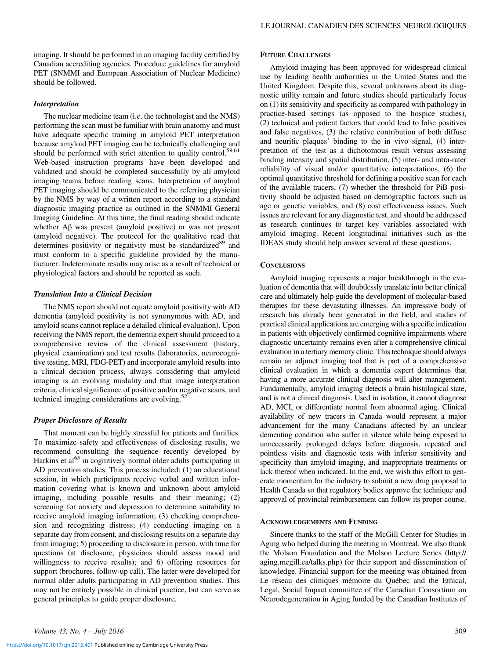imaging. It should be performed in an imaging facility certified by Canadian accrediting agencies. Procedure guidelines for amyloid PET (SNMMI and European Association of Nuclear Medicine) should be followed.

## **Interpretation**

The nuclear medicine team (i.e. the technologist and the NMS) performing the scan must be familiar with brain anatomy and must have adequate specific training in amyloid PET interpretation because amyloid PET imaging can be technically challenging and should be performed with strict attention to quality control.<sup>[59](#page-8-0),[61](#page-8-0)</sup> Web-based instruction programs have been developed and validated and should be completed successfully by all amyloid imaging teams before reading scans. Interpretation of amyloid PET imaging should be communicated to the referring physician by the NMS by way of a written report according to a standard diagnostic imaging practice as outlined in the SNMMI General Imaging Guideline. At this time, the final reading should indicate whether Aβ was present (amyloid positive) or was not present (amyloid negative). The protocol for the qualitative read that determines positivity or negativity must be standardized<sup>[89](#page-9-0)</sup> and must conform to a specific guideline provided by the manufacturer. Indeterminate results may arise as a result of technical or physiological factors and should be reported as such.

#### Translation Into a Clinical Decision

The NMS report should not equate amyloid positivity with AD dementia (amyloid positivity is not synonymous with AD, and amyloid scans cannot replace a detailed clinical evaluation). Upon receiving the NMS report, the dementia expert should proceed to a comprehensive review of the clinical assessment (history, physical examination) and test results (laboratories, neurocognitive testing, MRI, FDG-PET) and incorporate amyloid results into a clinical decision process, always considering that amyloid imaging is an evolving modality and that image interpretation criteria, clinical significance of positive and/or negative scans, and technical imaging considerations are evolving.<sup>52</sup>

# Proper Disclosure of Results

That moment can be highly stressful for patients and families. To maximize safety and effectiveness of disclosing results, we recommend consulting the sequence recently developed by Harkins et al<sup>65</sup> in cognitively normal older adults participating in AD prevention studies. This process included: (1) an educational session, in which participants receive verbal and written information covering what is known and unknown about amyloid imaging, including possible results and their meaning; (2) screening for anxiety and depression to determine suitability to receive amyloid imaging information; (3) checking comprehension and recognizing distress; (4) conducting imaging on a separate day from consent, and disclosing results on a separate day from imaging; 5) proceeding to disclosure in person, with time for questions (at disclosure, physicians should assess mood and willingness to receive results); and 6) offering resources for support (brochures, follow-up call). The latter were developed for normal older adults participating in AD prevention studies. This may not be entirely possible in clinical practice, but can serve as general principles to guide proper disclosure.

# FUTURE CHALLENGES

Amyloid imaging has been approved for widespread clinical use by leading health authorities in the United States and the United Kingdom. Despite this, several unknowns about its diagnostic utility remain and future studies should particularly focus on (1) its sensitivity and specificity as compared with pathology in practice-based settings (as opposed to the hospice studies), (2) technical and patient factors that could lead to false positives and false negatives, (3) the relative contribution of both diffuse and neuritic plaques' binding to the in vivo signal, (4) interpretation of the test as a dichotomous result versus assessing binding intensity and spatial distribution, (5) inter- and intra-rater reliability of visual and/or quantitative interpretations, (6) the optimal quantitative threshold for defining a positive scan for each of the available tracers, (7) whether the threshold for PiB positivity should be adjusted based on demographic factors such as age or genetic variables, and (8) cost effectiveness issues. Such issues are relevant for any diagnostic test, and should be addressed as research continues to target key variables associated with amyloid imaging. Recent longitudinal initiatives such as the IDEAS study should help answer several of these questions.

#### **CONCLUSIONS**

Amyloid imaging represents a major breakthrough in the evaluation of dementia that will doubtlessly translate into better clinical care and ultimately help guide the development of molecular-based therapies for these devastating illnesses. An impressive body of research has already been generated in the field, and studies of practical clinical applications are emerging with a specific indication in patients with objectively confirmed cognitive impairments where diagnostic uncertainty remains even after a comprehensive clinical evaluation in a tertiary memory clinic. This technique should always remain an adjunct imaging tool that is part of a comprehensive clinical evaluation in which a dementia expert determines that having a more accurate clinical diagnosis will alter management. Fundamentally, amyloid imaging detects a brain histological state, and is not a clinical diagnosis. Used in isolation, it cannot diagnose AD, MCI, or differentiate normal from abnormal aging. Clinical availability of new tracers in Canada would represent a major advancement for the many Canadians affected by an unclear dementing condition who suffer in silence while being exposed to unnecessarily prolonged delays before diagnosis, repeated and pointless visits and diagnostic tests with inferior sensitivity and specificity than amyloid imaging, and inappropriate treatments or lack thereof when indicated. In the end, we wish this effort to generate momentum for the industry to submit a new drug proposal to Health Canada so that regulatory bodies approve the technique and approval of provincial reimbursement can follow its proper course.

#### ACKNOWLEDGEMENTS AND FUNDING

Sincere thanks to the staff of the McGill Center for Studies in Aging who helped during the meeting in Montreal. We also thank the Molson Foundation and the Molson Lecture Series ([http://](http://aging.mcgill.ca/talks.php) [aging.mcgill.ca/talks.php](http://aging.mcgill.ca/talks.php)) for their support and dissemination of knowledge. Financial support for the meeting was obtained from Le réseau des cliniques mémoire du Québec and the Ethical, Legal, Social Impact committee of the Canadian Consortium on Neurodegeneration in Aging funded by the Canadian Institutes of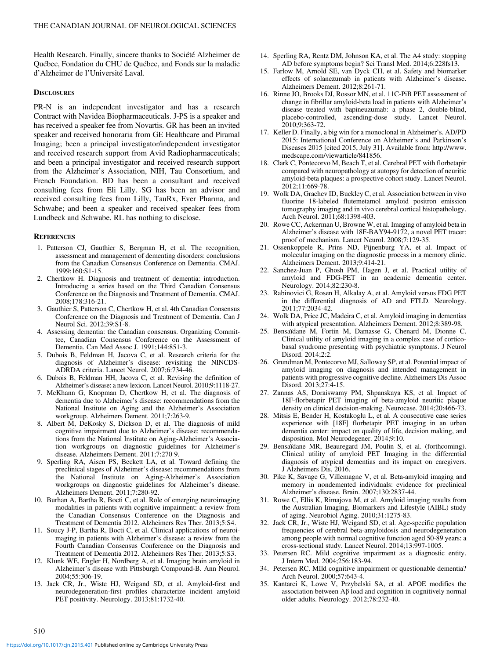<span id="page-7-0"></span>Health Research. Finally, sincere thanks to Société Alzheimer de Québec, Fondation du CHU de Québec, and Fonds sur la maladie d'Alzheimer de l'Université Laval.

## **DISCLOSURES**

PR-N is an independent investigator and has a research Contract with Navidea Biopharmaceuticals. J-PS is a speaker and has received a speaker fee from Novartis. GR has been an invited speaker and received honoraria from GE Healthcare and Piramal Imaging; been a principal investigator/independent investigator and received research support from Avid Radiopharmaceuticals; and been a principal investigator and received research support from the Alzheimer's Association, NIH, Tau Consortium, and French Foundation. BD has been a consultant and received consulting fees from Eli Lilly. SG has been an advisor and received consulting fees from Lilly, TauRx, Ever Pharma, and Schwabe; and been a speaker and received speaker fees from Lundbeck and Schwabe. RL has nothing to disclose.

#### **REFERENCES**

- 1. Patterson CJ, Gauthier S, Bergman H, et al. The recognition, assessment and management of dementing disorders: conclusions from the Canadian Consensus Conference on Dementia. CMAJ. 1999;160:S1-15.
- 2. Chertkow H. Diagnosis and treatment of dementia: introduction. Introducing a series based on the Third Canadian Consensus Conference on the Diagnosis and Treatment of Dementia. CMAJ. 2008;178:316-21.
- 3. Gauthier S, Patterson C, Chertkow H, et al. 4th Canadian Consensus Conference on the Diagnosis and Treatment of Dementia. Can J Neurol Sci. 2012;39:S1-8.
- 4. Assessing dementia: the Canadian consensus. Organizing Committee, Canadian Consensus Conference on the Assessment of Dementia. Can Med Assoc J. 1991;144:851-3.
- 5. Dubois B, Feldman H, Jacova C, et al. Research criteria for the diagnosis of Alzheimer's disease: revisiting the NINCDS-ADRDA criteria. Lancet Neurol. 2007;6:734-46.
- 6. Dubois B, Feldman HH, Jacova C, et al. Revising the definition of Alzheimer's disease: a new lexicon. Lancet Neurol. 2010;9:1118-27.
- 7. McKhann G, Knopman D, Chertkow H, et al. The diagnosis of dementia due to Alzheimer's disease: recommendations from the National Institute on Aging and the Alzheimer's Association workgroup. Alzheimers Dement. 2011;7:263-9.
- 8. Albert M, DeKosky S, Dickson D, et al. The diagnosis of mild cognitive impairment due to Alzheimer's disease: recommendations from the National Institute on Aging-Alzheimer's Association workgroups on diagnostic guidelines for Alzheimer's disease. Alzheimers Dement. 2011;7:270 9.
- 9. Sperling RA, Aisen PS, Beckett LA, et al. Toward defining the preclinical stages of Alzheimer's disease: recommendations from the National Institute on Aging-Alzheimer's Association workgroups on diagnostic guidelines for Alzheimer's disease. Alzheimers Dement. 2011;7:280-92.
- 10. Burhan A, Bartha R, Bocti C, et al. Role of emerging neuroimaging modalities in patients with cognitive impairment: a review from the Canadian Consensus Conference on the Diagnosis and Treatment of Dementia 2012. Alzheimers Res Ther. 2013;5:S4.
- 11. Soucy J-P, Bartha R, Bocti C, et al. Clinical applications of neuroimaging in patients with Alzheimer's disease: a review from the Fourth Canadian Consensus Conference on the Diagnosis and Treatment of Dementia 2012. Alzheimers Res Ther. 2013;5:S3.
- 12. Klunk WE, Engler H, Nordberg A, et al. Imaging brain amyloid in Alzheimer's disease with Pittsburgh Compound-B. Ann Neurol. 2004;55:306-19.
- 13. Jack CR, Jr., Wiste HJ, Weigand SD, et al. Amyloid-first and neurodegeneration-first profiles characterize incident amyloid PET positivity. Neurology. 2013;81:1732-40.
- 14. Sperling RA, Rentz DM, Johnson KA, et al. The A4 study: stopping AD before symptoms begin? Sci Transl Med. 2014;6:228fs13.
- 15. Farlow M, Arnold SE, van Dyck CH, et al. Safety and biomarker effects of solanezumab in patients with Alzheimer's disease. Alzheimers Dement. 2012;8:261-71.
- 16. Rinne JO, Brooks DJ, Rossor MN, et al. 11C-PiB PET assessment of change in fibrillar amyloid-beta load in patients with Alzheimer's disease treated with bapineuzumab: a phase 2, double-blind, placebo-controlled, ascending-dose study. Lancet Neurol. 2010;9:363-72.
- 17. Keller D. Finally, a big win for a monoclonal in Alzheimer's. AD/PD 2015: International Conference on Alzheimer's and Parkinson's Diseases 2015 [cited 2015, July 31]. Available from: [http://www.](http://www.medscape.com/viewarticle/841856) [medscape.com/viewarticle/841856.](http://www.medscape.com/viewarticle/841856)
- 18. Clark C, Pontecorvo M, Beach T, et al. Cerebral PET with florbetapir compared with neuropathology at autopsy for detection of neuritic amyloid-beta plaques: a prospective cohort study. Lancet Neurol. 2012;11:669-78.
- 19. Wolk DA, Grachev ID, Buckley C, et al. Association between in vivo fluorine 18-labeled flutemetamol amyloid positron emission tomography imaging and in vivo cerebral cortical histopathology. Arch Neurol. 2011;68:1398-403.
- 20. Rowe CC, Ackerman U, Browne W, et al. Imaging of amyloid beta in Alzheimer's disease with 18F-BAY94-9172, a novel PET tracer: proof of mechanism. Lancet Neurol. 2008;7:129-35.
- 21. Ossenkoppele R, Prins ND, Pijnenburg YA, et al. Impact of molecular imaging on the diagnostic process in a memory clinic. Alzheimers Dement. 2013;9:414-21.
- 22. Sanchez-Juan P, Ghosh PM, Hagen J, et al. Practical utility of amyloid and FDG-PET in an academic dementia center. Neurology. 2014;82:230-8.
- 23. Rabinovici G, Rosen H, Alkalay A, et al. Amyloid versus FDG PET in the differential diagnosis of AD and FTLD. Neurology. 2011;77:2034-42.
- 24. Wolk DA, Price JC, Madeira C, et al. Amyloid imaging in dementias with atypical presentation. Alzheimers Dement. 2012;8:389-98.
- 25. Bensaïdane M, Fortin M, Damasse G, Chenard M, Dionne C. Clinical utility of amyloid imaging in a complex case of corticobasal syndrome presenting with psychiatric symptoms. J Neurol Disord. 2014;2:2.
- 26. Grundman M, Pontecorvo MJ, Salloway SP, et al. Potential impact of amyloid imaging on diagnosis and intended management in patients with progressive cognitive decline. Alzheimers Dis Assoc Disord. 2013;27:4-15.
- 27. Zannas AS, Doraiswamy PM, Shpanskaya KS, et al. Impact of 18F-florbetapir PET imaging of beta-amyloid neuritic plaque density on clinical decision-making. Neurocase. 2014;20:466-73.
- 28. Mitsis E, Bender H, Kostakoglu L, et al. A consecutive case series experience with [18F] florbetapir PET imaging in an urban dementia center: impact on quality of life, decision making, and disposition. Mol Neurodegener. 2014;9:10.
- 29. Bensaïdane MR, Beauregard JM, Poulin S, et al. (forthcoming). Clinical utility of amyloid PET Imaging in the differential diagnosis of atypical dementias and its impact on caregivers. J Alzheimers Dis. 2016.
- 30. Pike K, Savage G, Villemagne V, et al. Beta-amyloid imaging and memory in nondemented individuals: evidence for preclinical Alzheimer's disease. Brain. 2007;130:2837-44.
- 31. Rowe C, Ellis K, Rimajova M, et al. Amyloid imaging results from the Australian Imaging, Biomarkers and Lifestyle (AIBL) study of aging. Neurobiol Aging. 2010;31:1275-83.
- 32. Jack CR, Jr., Wiste HJ, Weigand SD, et al. Age-specific population frequencies of cerebral beta-amyloidosis and neurodegeneration among people with normal cognitive function aged 50-89 years: a cross-sectional study. Lancet Neurol. 2014;13:997-1005.
- 33. Petersen RC. Mild cognitive impairment as a diagnostic entity. J Intern Med. 2004;256:183-94.
- 34. Petersen RC. MIld cognitive impairment or questionable dementia? Arch Neurol. 2000;57:643-4.
- 35. Kantarci K, Lowe V, Przybelski SA, et al. APOE modifies the association between Aβ load and cognition in cognitively normal older adults. Neurology. 2012;78:232-40.

510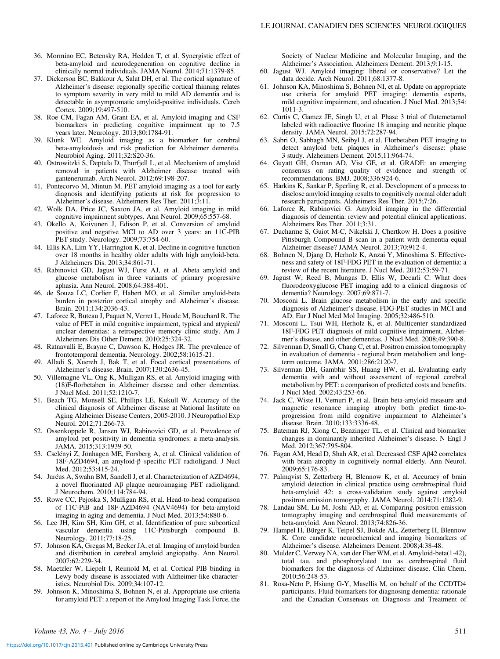- <span id="page-8-0"></span>36. Mormino EC, Betensky RA, Hedden T, et al. Synergistic effect of beta-amyloid and neurodegeneration on cognitive decline in clinically normal individuals. JAMA Neurol. 2014;71:1379-85.
- 37. Dickerson BC, Bakkour A, Salat DH, et al. The cortical signature of Alzheimer's disease: regionally specific cortical thinning relates to symptom severity in very mild to mild AD dementia and is detectable in asymptomatic amyloid-positive individuals. Cereb Cortex. 2009;19:497-510.
- 38. Roe CM, Fagan AM, Grant EA, et al. Amyloid imaging and CSF biomarkers in predicting cognitive impairment up to 7.5 years later. Neurology. 2013;80:1784-91.
- 39. Klunk WE. Amyloid imaging as a biomarker for cerebral beta-amyloidosis and risk prediction for Alzheimer dementia. Neurobiol Aging. 2011;32:S20-36.
- 40. Ostrowitzki S, Deptula D, Thurfjell L, et al. Mechanism of amyloid removal in patients with Alzheimer disease treated with gantenerumab. Arch Neurol. 2012;69:198-207.
- 41. Pontecorvo M, Mintun M. PET amyloid imaging as a tool for early diagnosis and identifying patients at risk for progression to Alzheimer's disease. Alzheimers Res Ther. 2011;3:11.
- 42. Wolk DA, Price JC, Saxton JA, et al. Amyloid imaging in mild cognitive impairment subtypes. Ann Neurol. 2009;65:557-68.
- 43. Okello A, Koivunen J, Edison P, et al. Conversion of amyloid positive and negative MCI to AD over 3 years: an 11C-PIB PET study. Neurology. 2009;73:754-60.
- 44. Ellis KA, Lim YY, Harrington K, et al. Decline in cognitive function over 18 months in healthy older adults with high amyloid-beta. J Alzheimers Dis. 2013;34:861-71.
- 45. Rabinovici GD, Jagust WJ, Furst AJ, et al. Abeta amyloid and glucose metabolism in three variants of primary progressive aphasia. Ann Neurol. 2008;64:388-401.
- 46. de Souza LC, Corlier F, Habert MO, et al. Similar amyloid-beta burden in posterior cortical atrophy and Alzheimer's disease. Brain. 2011;134:2036-43.
- 47. Laforce R, Buteau J, Paquet N, Verret L, Houde M, Bouchard R. The value of PET in mild cognitive impairment, typical and atypical/ unclear dementias: a retrospective memory clinic study. Am J Alzheimers Dis Other Dement. 2010;25:324-32.
- 48. Ratnavalli E, Brayne C, Dawson K, Hodges JR. The prevalence of frontotemporal dementia. Neurology. 2002;58:1615-21.
- 49. Alladi S, Xuereb J, Bak T, et al. Focal cortical presentations of Alzheimer's disease. Brain. 2007;130:2636-45.
- 50. Villemagne VL, Ong K, Mulligan RS, et al. Amyloid imaging with (18)F-florbetaben in Alzheimer disease and other dementias. J Nucl Med. 2011;52:1210-7.
- 51. Beach TG, Monsell SE, Phillips LE, Kukull W. Accuracy of the clinical diagnosis of Alzheimer disease at National Institute on Aging Alzheimer Disease Centers, 2005-2010. J Neuropathol Exp Neurol. 2012;71:266-73.
- 52. Ossenkoppele R, Jansen WJ, Rabinovici GD, et al. Prevalence of amyloid pet positivity in dementia syndromes: a meta-analysis. JAMA. 2015;313:1939-50.
- 53. Cselényi Z, Jönhagen ME, Forsberg A, et al. Clinical validation of 18F-AZD4694, an amyloid-β–specific PET radioligand. J Nucl Med. 2012;53:415-24.
- 54. Juréus A, Swahn BM, Sandell J, et al. Characterization of AZD4694, a novel fluorinated Aβ plaque neuroimaging PET radioligand. J Neurochem. 2010;114:784-94.
- 55. Rowe CC, Pejoska S, Mulligan RS, et al. Head-to-head comparison of 11C-PiB and 18F-AZD4694 (NAV4694) for beta-amyloid imaging in aging and dementia. J Nucl Med. 2013;54:880-6.
- 56. Lee JH, Kim SH, Kim GH, et al. Identification of pure subcortical vascular dementia using 11C-Pittsburgh compound B. Neurology. 2011;77:18-25.
- 57. Johnson KA, Gregas M, Becker JA, et al. Imaging of amyloid burden and distribution in cerebral amyloid angiopathy. Ann Neurol. 2007;62:229-34.
- 58. Maetzler W, Liepelt I, Reimold M, et al. Cortical PIB binding in Lewy body disease is associated with Alzheimer-like characteristics. Neurobiol Dis. 2009;34:107-12.
- 59. Johnson K, Minoshima S, Bohnen N, et al. Appropriate use criteria for amyloid PET: a report of the Amyloid Imaging Task Force, the

Society of Nuclear Medicine and Molecular Imaging, and the Alzheimer's Association. Alzheimers Dement. 2013;9:1-15.

- 60. Jagust WJ. Amyloid imaging: liberal or conservative? Let the data decide. Arch Neurol. 2011;68:1377-8.
- 61. Johnson KA, Minoshima S, Bohnen NI, et al. Update on appropriate use criteria for amyloid PET imaging: dementia experts, mild cognitive impairment, and education. J Nucl Med. 2013;54: 1011-3.
- 62. Curtis C, Gamez JE, Singh U, et al. Phase 3 trial of flutemetamol labeled with radioactive fluorine 18 imaging and neuritic plaque density. JAMA Neurol. 2015;72:287-94.
- 63. Sabri O, Sabbagh MN, Seibyl J, et al. Florbetaben PET imaging to detect amyloid beta plaques in Alzheimer's disease: phase 3 study. Alzheimers Dement. 2015;11:964-74.
- 64. Guyatt GH, Oxman AD, Vist GE, et al. GRADE: an emerging consensus on rating quality of evidence and strength of recommendations. BMJ. 2008;336:924-6.
- 65. Harkins K, Sankar P, Sperling R, et al. Development of a process to disclose amyloid imaging results to cognitively normal older adult research participants. Alzheimers Res Ther. 2015;7:26.
- 66. Laforce R, Rabinovici G. Amyloid imaging in the differential diagnosis of dementia: review and potential clinical applications. Alzheimers Res Ther. 2011;3:31.
- 67. Ducharme S, Guiot M-C, Nikelski J, Chertkow H. Does a positive Pittsburgh Compound B scan in a patient with dementia equal Alzheimer disease? JAMA Neurol. 2013;70:912-4.
- 68. Bohnen N, Djang D, Herholz K, Anzai Y, Minoshima S. Effectiveness and safety of 18F-FDG PET in the evaluation of dementia: a review of the recent literature. J Nucl Med. 2012;53:59-71.
- 69. Jagust W, Reed B, Mungas D, Ellis W, Decarli C. What does fluorodeoxyglucose PET imaging add to a clinical diagnosis of dementia? Neurology. 2007;69:871-7.
- 70. Mosconi L. Brain glucose metabolism in the early and specific diagnosis of Alzheimer's disease. FDG-PET studies in MCI and AD. Eur J Nucl Med Mol Imaging. 2005;32:486-510.
- 71. Mosconi L, Tsui WH, Herholz K, et al. Multicenter standardized 18F-FDG PET diagnosis of mild cognitive impairment, Alzheimer's disease, and other dementias. J Nucl Med. 2008;49:390-8.
- 72. Silverman D, Small G, Chang C, et al. Positron emission tomography in evaluation of dementia - regional brain metabolism and longterm outcome. JAMA. 2001;286:2120-7.
- 73. Silverman DH, Gambhir SS, Huang HW, et al. Evaluating early dementia with and without assessment of regional cerebral metabolism by PET: a comparison of predicted costs and benefits. J Nucl Med. 2002;43:253-66.
- 74. Jack C, Wiste H, Vemuri P, et al. Brain beta-amyloid measure and magnetic resonance imaging atrophy both predict time-toprogression from mild cognitive impairment to Alzheimer's disease. Brain. 2010;133:3336-48.
- 75. Bateman RJ, Xiong C, Benzinger TL, et al. Clinical and biomarker changes in dominantly inherited Alzheimer's disease. N Engl J Med. 2012;367:795-804.
- 76. Fagan AM, Head D, Shah AR, et al. Decreased CSF Aβ42 correlates with brain atrophy in cognitively normal elderly. Ann Neurol. 2009;65:176-83.
- 77. Palmqvist S, Zetterberg H, Blennow K, et al. Accuracy of brain amyloid detection in clinical practice using cerebrospinal fluid beta-amyloid 42: a cross-validation study against amyloid positron emission tomography. JAMA Neurol. 2014;71:1282-9.
- 78. Landau SM, Lu M, Joshi AD, et al. Comparing positron emission tomography imaging and cerebrospinal fluid measurements of beta-amyloid. Ann Neurol. 2013;74:826-36.
- 79. Hampel H, Bürger K, Teipel SJ, Bokde AL, Zetterberg H, Blennow K. Core candidate neurochemical and imaging biomarkers of Alzheimer's disease. Alzheimers Dement. 2008;4:38-48.
- 80. Mulder C, Verwey NA, van der Flier WM, et al. Amyloid-beta(1-42), total tau, and phosphorylated tau as cerebrospinal fluid biomarkers for the diagnosis of Alzheimer disease. Clin Chem. 2010;56:248-53.
- 81. Rosa-Neto P, Hsiung G-Y, Masellis M, on behalf of the CCDTD4 participants. Fluid biomarkers for diagnosing dementia: rationale and the Canadian Consensus on Diagnosis and Treatment of